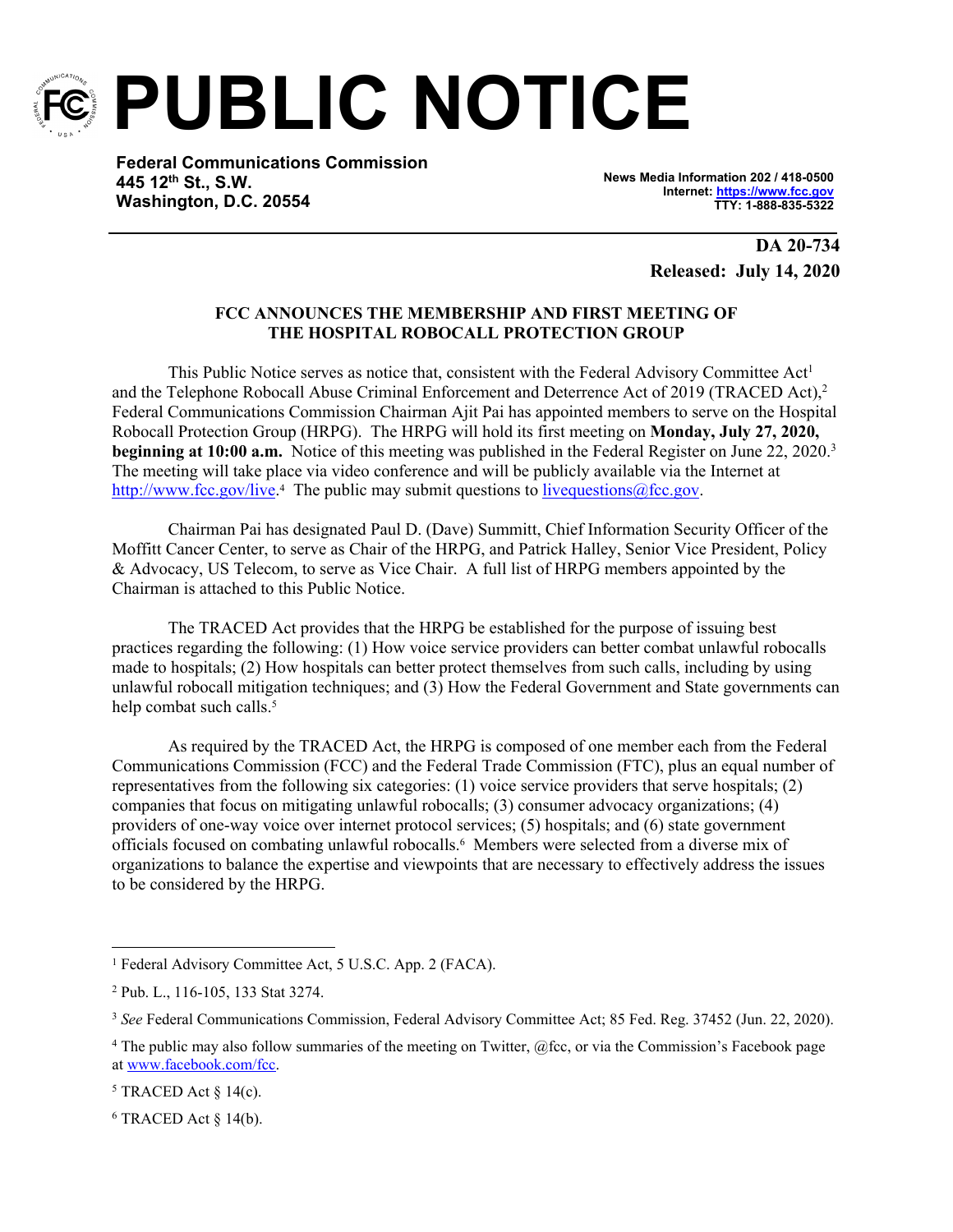

**PUBLIC NOTICE**

**Federal Communications Commission 445 12th St., S.W. Washington, D.C. 20554**

**News Media Information 202 / 418-0500 Internet:<https://www.fcc.gov> TTY: 1-888-835-5322**

> **DA 20-734 Released: July 14, 2020**

# **FCC ANNOUNCES THE MEMBERSHIP AND FIRST MEETING OF THE HOSPITAL ROBOCALL PROTECTION GROUP**

This Public Notice serves as notice that, consistent with the Federal Advisory Committee Act<sup>1</sup> and the Telephone Robocall Abuse Criminal Enforcement and Deterrence Act of 2019 (TRACED Act),<sup>2</sup> Federal Communications Commission Chairman Ajit Pai has appointed members to serve on the Hospital Robocall Protection Group (HRPG). The HRPG will hold its first meeting on **Monday, July 27, 2020, beginning at 10:00 a.m.** Notice of this meeting was published in the Federal Register on June 22, 2020.<sup>3</sup> The meeting will take place via video conference and will be publicly available via the Internet at <http://www.fcc.gov/live>.<sup>4</sup> The public may submit questions to live questions@fcc.gov.

Chairman Pai has designated Paul D. (Dave) Summitt, Chief Information Security Officer of the Moffitt Cancer Center, to serve as Chair of the HRPG, and Patrick Halley, Senior Vice President, Policy & Advocacy, US Telecom, to serve as Vice Chair. A full list of HRPG members appointed by the Chairman is attached to this Public Notice.

The TRACED Act provides that the HRPG be established for the purpose of issuing best practices regarding the following: (1) How voice service providers can better combat unlawful robocalls made to hospitals; (2) How hospitals can better protect themselves from such calls, including by using unlawful robocall mitigation techniques; and (3) How the Federal Government and State governments can help combat such calls.<sup>5</sup>

As required by the TRACED Act, the HRPG is composed of one member each from the Federal Communications Commission (FCC) and the Federal Trade Commission (FTC), plus an equal number of representatives from the following six categories: (1) voice service providers that serve hospitals; (2) companies that focus on mitigating unlawful robocalls; (3) consumer advocacy organizations; (4) providers of one-way voice over internet protocol services; (5) hospitals; and (6) state government officials focused on combating unlawful robocalls.<sup>6</sup> Members were selected from a diverse mix of organizations to balance the expertise and viewpoints that are necessary to effectively address the issues to be considered by the HRPG.

<sup>&</sup>lt;sup>1</sup> Federal Advisory Committee Act, 5 U.S.C. App. 2 (FACA).

<sup>2</sup> Pub. L., 116-105, 133 Stat 3274.

<sup>3</sup> *See* Federal Communications Commission, Federal Advisory Committee Act; 85 Fed. Reg. 37452 (Jun. 22, 2020).

<sup>&</sup>lt;sup>4</sup> The public may also follow summaries of the meeting on Twitter, @fcc, or via the Commission's Facebook page at [www.facebook.com/fcc](http://www.facebook.com/fcc).

 $5$  TRACED Act  $\S$  14(c).

 $6$  TRACED Act  $\S$  14(b).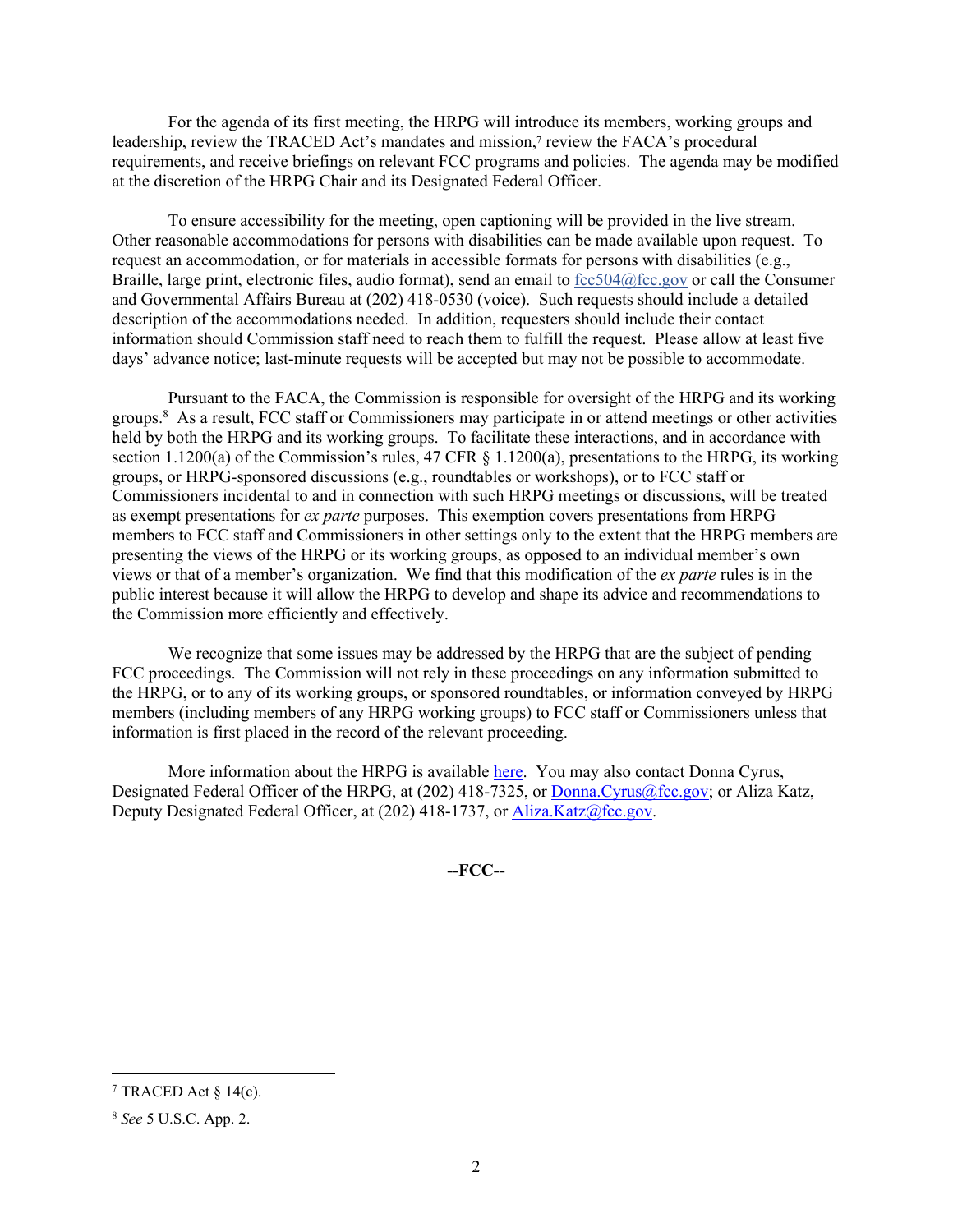For the agenda of its first meeting, the HRPG will introduce its members, working groups and leadership, review the TRACED Act's mandates and mission,<sup>7</sup> review the FACA's procedural requirements, and receive briefings on relevant FCC programs and policies. The agenda may be modified at the discretion of the HRPG Chair and its Designated Federal Officer.

To ensure accessibility for the meeting, open captioning will be provided in the live stream. Other reasonable accommodations for persons with disabilities can be made available upon request. To request an accommodation, or for materials in accessible formats for persons with disabilities (e.g., Braille, large print, electronic files, audio format), send an email to  $fcc504@$  fcc.gov or call the Consumer and Governmental Affairs Bureau at (202) 418-0530 (voice). Such requests should include a detailed description of the accommodations needed. In addition, requesters should include their contact information should Commission staff need to reach them to fulfill the request. Please allow at least five days' advance notice; last-minute requests will be accepted but may not be possible to accommodate.

Pursuant to the FACA, the Commission is responsible for oversight of the HRPG and its working groups.<sup>8</sup> As a result, FCC staff or Commissioners may participate in or attend meetings or other activities held by both the HRPG and its working groups. To facilitate these interactions, and in accordance with section 1.1200(a) of the Commission's rules, 47 CFR § 1.1200(a), presentations to the HRPG, its working groups, or HRPG-sponsored discussions (e.g., roundtables or workshops), or to FCC staff or Commissioners incidental to and in connection with such HRPG meetings or discussions, will be treated as exempt presentations for *ex parte* purposes. This exemption covers presentations from HRPG members to FCC staff and Commissioners in other settings only to the extent that the HRPG members are presenting the views of the HRPG or its working groups, as opposed to an individual member's own views or that of a member's organization. We find that this modification of the *ex parte* rules is in the public interest because it will allow the HRPG to develop and shape its advice and recommendations to the Commission more efficiently and effectively.

We recognize that some issues may be addressed by the HRPG that are the subject of pending FCC proceedings. The Commission will not rely in these proceedings on any information submitted to the HRPG, or to any of its working groups, or sponsored roundtables, or information conveyed by HRPG members (including members of any HRPG working groups) to FCC staff or Commissioners unless that information is first placed in the record of the relevant proceeding.

More information about the HRPG is available [here](https://www.fcc.gov/hospital-robocall-protection-group). You may also contact Donna Cyrus, Designated Federal Officer of the HRPG, at (202) 418-7325, or [Donna.Cyrus@fcc.gov](mailto:Donna.Cyris@fcc.gov); or Aliza Katz, Deputy Designated Federal Officer, at (202) 418-1737, or [Aliza.Katz@fcc.gov](mailto:Aliza.Katz@fcc.gov).

**--FCC--**

<sup>&</sup>lt;sup>7</sup> TRACED Act  $\S 14(c)$ .

<sup>8</sup> *See* 5 U.S.C. App. 2.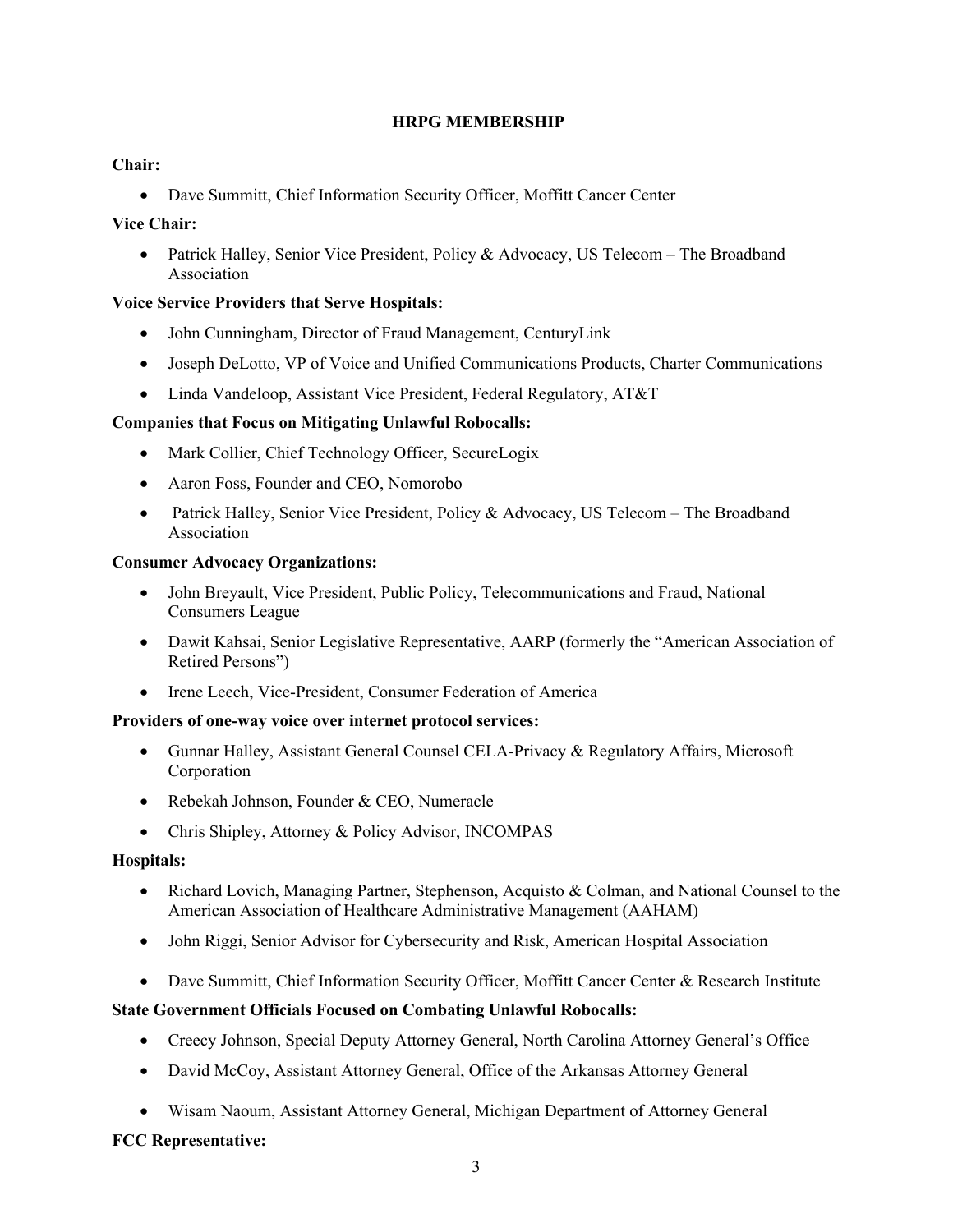# **HRPG MEMBERSHIP**

# **Chair:**

Dave Summitt, Chief Information Security Officer, Moffitt Cancer Center

# **Vice Chair:**

• Patrick Halley, Senior Vice President, Policy & Advocacy, US Telecom – The Broadband Association

# **Voice Service Providers that Serve Hospitals:**

- John Cunningham, Director of Fraud Management, CenturyLink
- Joseph DeLotto, VP of Voice and Unified Communications Products, Charter Communications
- Linda Vandeloop, Assistant Vice President, Federal Regulatory, AT&T

# **Companies that Focus on Mitigating Unlawful Robocalls:**

- Mark Collier, Chief Technology Officer, SecureLogix
- Aaron Foss, Founder and CEO, Nomorobo
- Patrick Halley, Senior Vice President, Policy & Advocacy, US Telecom The Broadband Association

#### **Consumer Advocacy Organizations:**

- John Breyault, Vice President, Public Policy, Telecommunications and Fraud, National Consumers League
- Dawit Kahsai, Senior Legislative Representative, AARP (formerly the "American Association of Retired Persons")
- Irene Leech, Vice-President, Consumer Federation of America

### **Providers of one-way voice over internet protocol services:**

- Gunnar Halley, Assistant General Counsel CELA-Privacy & Regulatory Affairs, Microsoft Corporation
- Rebekah Johnson, Founder & CEO, Numeracle
- Chris Shipley, Attorney & Policy Advisor, INCOMPAS

### **Hospitals:**

- Richard Lovich, Managing Partner, Stephenson, Acquisto & Colman, and National Counsel to the American Association of Healthcare Administrative Management (AAHAM)
- John Riggi, Senior Advisor for Cybersecurity and Risk, American Hospital Association
- Dave Summitt, Chief Information Security Officer, Moffitt Cancer Center & Research Institute

### **State Government Officials Focused on Combating Unlawful Robocalls:**

- Creecy Johnson, Special Deputy Attorney General, North Carolina Attorney General's Office
- David McCoy, Assistant Attorney General, Office of the Arkansas Attorney General
- Wisam Naoum, Assistant Attorney General, Michigan Department of Attorney General

### **FCC Representative:**